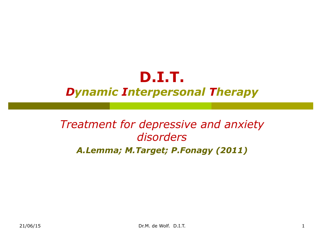## **D.I.T.** *Dynamic Interpersonal Therapy*

## *Treatment for depressive and anxiety disorders A.Lemma; M.Target; P.Fonagy (2011)*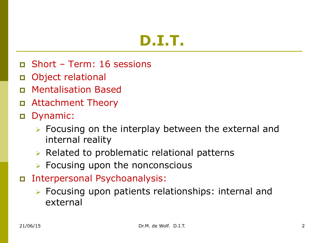- p Short Term: 16 sessions
- p Object relational
- p Mentalisation Based
- p Attachment Theory
- p Dynamic:
	- $\triangleright$  Focusing on the interplay between the external and internal reality
	- $\triangleright$  Related to problematic relational patterns
	- $\triangleright$  Focusing upon the nonconscious
- p Interpersonal Psychoanalysis:
	- $\triangleright$  Focusing upon patients relationships: internal and external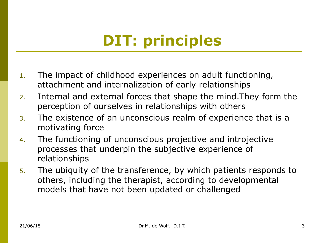# **DIT: principles**

- 1. The impact of childhood experiences on adult functioning, attachment and internalization of early relationships
- 2. Internal and external forces that shape the mind.They form the perception of ourselves in relationships with others
- 3. The existence of an unconscious realm of experience that is a motivating force
- 4. The functioning of unconscious projective and introjective processes that underpin the subjective experience of relationships
- 5. The ubiquity of the transference, by which patients responds to others, including the therapist, according to developmental models that have not been updated or challenged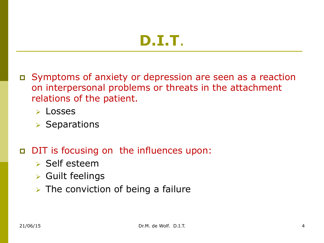- p Symptoms of anxiety or depression are seen as a reaction on interpersonal problems or threats in the attachment relations of the patient.
	- $\triangleright$  Losses
	- $\triangleright$  Separations

#### p DIT is focusing on the influences upon:

- $\triangleright$  Self esteem
- $\triangleright$  Guilt feelings
- $\triangleright$  The conviction of being a failure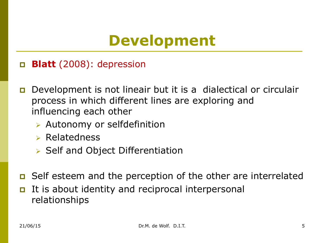# **Development**

- p **Blatt** (2008): depression
- p Development is not lineair but it is a dialectical or circulair process in which different lines are exploring and influencing each other
	- $\triangleright$  Autonomy or selfdefinition
	- $\triangleright$  Relatedness
	- $\triangleright$  Self and Object Differentiation
- p Self esteem and the perception of the other are interrelated
- It is about identity and reciprocal interpersonal relationships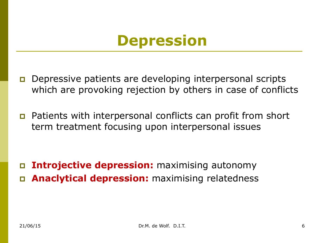## **Depression**

- p Depressive patients are developing interpersonal scripts which are provoking rejection by others in case of conflicts
- p Patients with interpersonal conflicts can profit from short term treatment focusing upon interpersonal issues

p **Introjective depression:** maximising autonomy p **Anaclytical depression:** maximising relatedness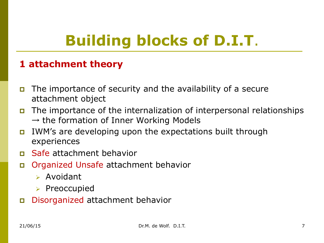#### **1 attachment theory**

- p The importance of security and the availability of a secure attachment object
- p The importance of the internalization of interpersonal relationships  $\rightarrow$  the formation of Inner Working Models
- p IWM's are developing upon the expectations built through experiences
- p Safe attachment behavior
- p Organized Unsafe attachment behavior
	- $\triangleright$  Avoidant
	- $\triangleright$  Preoccupied
- p Disorganized attachment behavior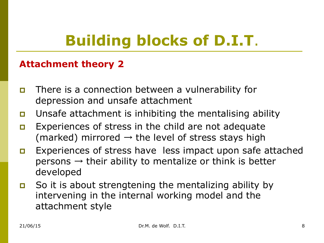#### **Attachment theory 2**

- p There is a connection between a vulnerability for depression and unsafe attachment
- p Unsafe attachment is inhibiting the mentalising ability
- **p** Experiences of stress in the child are not adequate (marked) mirrored  $\rightarrow$  the level of stress stays high
- **p** Experiences of stress have less impact upon safe attached persons  $\rightarrow$  their ability to mentalize or think is better developed
- p So it is about strengtening the mentalizing ability by intervening in the internal working model and the attachment style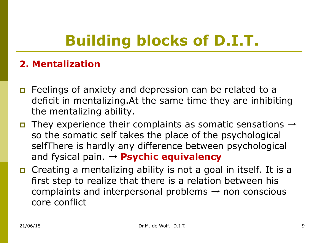#### **2. Mentalization**

- **p** Feelings of anxiety and depression can be related to a deficit in mentalizing.At the same time they are inhibiting the mentalizing ability.
- **p** They experience their complaints as somatic sensations  $\rightarrow$ so the somatic self takes the place of the psychological selfThere is hardly any difference between psychological and fysical pain. → **Psychic equivalency**
- p Creating a mentalizing ability is not a goal in itself. It is a first step to realize that there is a relation between his complaints and interpersonal problems  $\rightarrow$  non conscious core conflict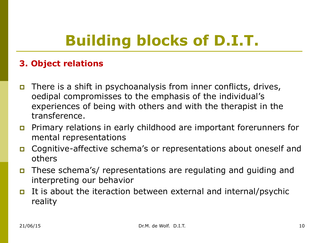#### **3. Object relations**

- **p** There is a shift in psychoanalysis from inner conflicts, drives, oedipal compromisses to the emphasis of the individual's experiences of being with others and with the therapist in the transference.
- p Primary relations in early childhood are important forerunners for mental representations
- p Cognitive-affective schema's or representations about oneself and others
- p These schema's/ representations are regulating and guiding and interpreting our behavior
- **p** It is about the iteraction between external and internal/psychic reality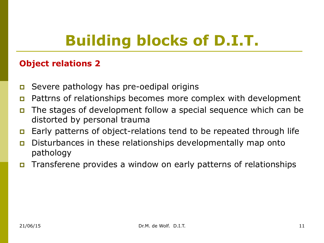#### **Object relations 2**

- **p** Severe pathology has pre-oedipal origins
- p Pattrns of relationships becomes more complex with development
- p The stages of development follow a special sequence which can be distorted by personal trauma
- p Early patterns of object-relations tend to be repeated through life
- p Disturbances in these relationships developmentally map onto pathology
- p Transferene provides a window on early patterns of relationships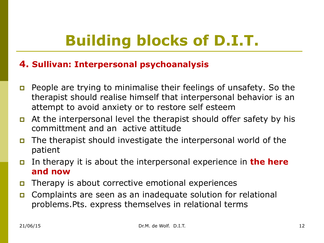#### **4. Sullivan: Interpersonal psychoanalysis**

- p People are trying to minimalise their feelings of unsafety. So the therapist should realise himself that interpersonal behavior is an attempt to avoid anxiety or to restore self esteem
- **p** At the interpersonal level the therapist should offer safety by his committment and an active attitude
- p The therapist should investigate the interpersonal world of the patient
- p In therapy it is about the interpersonal experience in **the here and now**
- p Therapy is about corrective emotional experiences
- p Complaints are seen as an inadequate solution for relational problems.Pts. express themselves in relational terms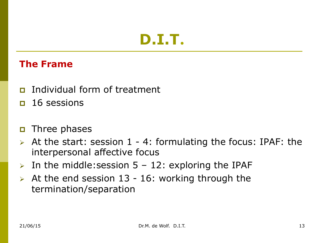#### **The Frame**

- p Individual form of treatment
- $\Box$  16 sessions
- **p** Three phases
- $\triangleright$  At the start: session 1 4: formulating the focus: IPAF: the interpersonal affective focus
- $\triangleright$  In the middle: session 5 12: exploring the IPAF
- $\triangleright$  At the end session 13 16: working through the termination/separation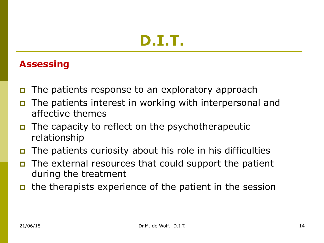#### **Assessing**

- p The patients response to an exploratory approach
- p The patients interest in working with interpersonal and affective themes
- $\Box$  The capacity to reflect on the psychotherapeutic relationship
- p The patients curiosity about his role in his difficulties
- The external resources that could support the patient during the treatment
- p the therapists experience of the patient in the session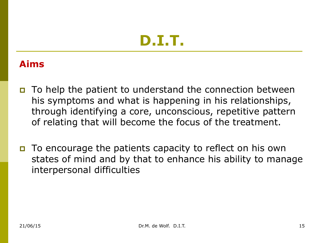## **Aims**

- p To help the patient to understand the connection between his symptoms and what is happening in his relationships, through identifying a core, unconscious, repetitive pattern of relating that will become the focus of the treatment.
- p To encourage the patients capacity to reflect on his own states of mind and by that to enhance his ability to manage interpersonal difficulties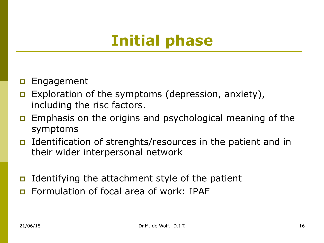# **Initial phase**

- **p** Engagement
- **p** Exploration of the symptoms (depression, anxiety), including the risc factors.
- **p** Emphasis on the origins and psychological meaning of the symptoms
- p Identification of strenghts/resources in the patient and in their wider interpersonal network
- **p** Identifying the attachment style of the patient
- **p** Formulation of focal area of work: IPAF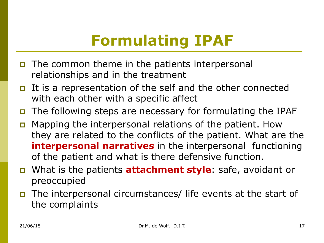# **Formulating IPAF**

- $\Box$  The common theme in the patients interpersonal relationships and in the treatment
- p It is a representation of the self and the other connected with each other with a specific affect
- p The following steps are necessary for formulating the IPAF
- p Mapping the interpersonal relations of the patient. How they are related to the conflicts of the patient. What are the **interpersonal narratives** in the interpersonal functioning of the patient and what is there defensive function.
- p What is the patients **attachment style**: safe, avoidant or preoccupied
- p The interpersonal circumstances/ life events at the start of the complaints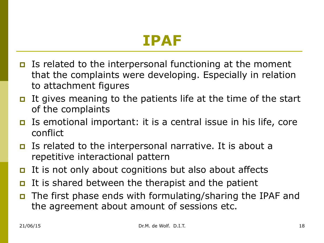## **IPAF**

- **p** Is related to the interpersonal functioning at the moment that the complaints were developing. Especially in relation to attachment figures
- **p** It gives meaning to the patients life at the time of the start of the complaints
- p Is emotional important: it is a central issue in his life, core conflict
- p Is related to the interpersonal narrative. It is about a repetitive interactional pattern
- p It is not only about cognitions but also about affects
- It is shared between the therapist and the patient
- p The first phase ends with formulating/sharing the IPAF and the agreement about amount of sessions etc.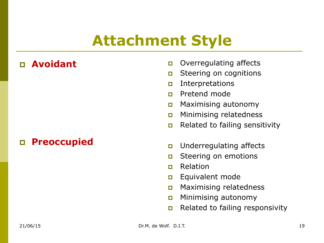## **Attachment Style**

## p **Avoidant**

#### p **Preoccupied**

- **p** Overregulating affects
- **p** Steering on cognitions
- p Interpretations
- p Pretend mode
- p Maximising autonomy
- **p** Minimising relatedness
- **p** Related to failing sensitivity
- **p** Underregulating affects
- **p** Steering on emotions
- p Relation
- **p** Equivalent mode
- p Maximising relatedness
- p Minimising autonomy
- **p** Related to failing responsivity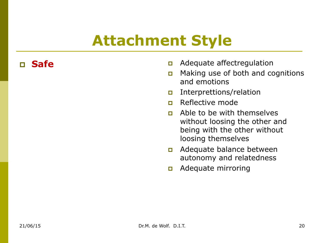## **Attachment Style**

- **p Safe p** Adequate affect regulation
	- p Making use of both and cognitions and emotions
	- p Interprettions/relation
	- p Reflective mode
	- p Able to be with themselves without loosing the other and being with the other without loosing themselves
	- p Adequate balance between autonomy and relatedness
	- p Adequate mirroring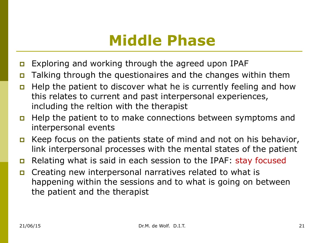## **Middle Phase**

- p Exploring and working through the agreed upon IPAF
- p Talking through the questionaires and the changes within them
- p Help the patient to discover what he is currently feeling and how this relates to current and past interpersonal experiences, including the reltion with the therapist
- p Help the patient to to make connections between symptoms and interpersonal events
- **p** Keep focus on the patients state of mind and not on his behavior, link interpersonal processes with the mental states of the patient
- p Relating what is said in each session to the IPAF: stay focused
- p Creating new interpersonal narratives related to what is happening within the sessions and to what is going on between the patient and the therapist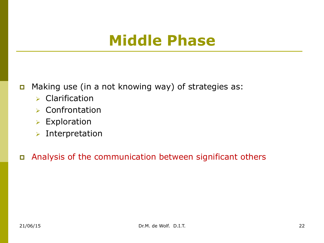## **Middle Phase**

- p Making use (in a not knowing way) of strategies as:
	- $\triangleright$  Clarification
	- $\triangleright$  Confrontation
	- $\triangleright$  Exploration
	- $\triangleright$  Interpretation

p Analysis of the communication between significant others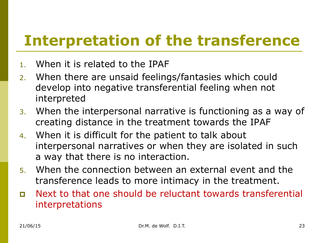## **Interpretation of the transference**

- 1. When it is related to the IPAF
- 2. When there are unsaid feelings/fantasies which could develop into negative transferential feeling when not interpreted
- 3. When the interpersonal narrative is functioning as a way of creating distance in the treatment towards the IPAF
- 4. When it is difficult for the patient to talk about interpersonal narratives or when they are isolated in such a way that there is no interaction.
- 5. When the connection between an external event and the transference leads to more intimacy in the treatment.
- p Next to that one should be reluctant towards transferential interpretations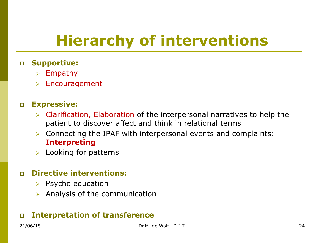# **Hierarchy of interventions**

#### p **Supportive:**

- $\triangleright$  Empathy
- $\triangleright$  Encouragement

#### p **Expressive:**

- $\triangleright$  Clarification, Elaboration of the interpersonal narratives to help the patient to discover affect and think in relational terms
- $\triangleright$  Connecting the IPAF with interpersonal events and complaints: **Interpreting**
- Looking for patterns

#### p **Directive interventions:**

- $\triangleright$  Psycho education
- $\triangleright$  Analysis of the communication

#### p **Interpretation of transference**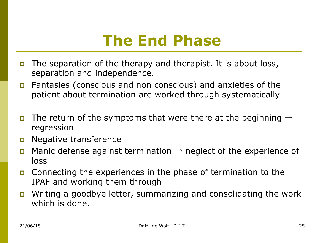## **The End Phase**

- p The separation of the therapy and therapist. It is about loss, separation and independence.
- p Fantasies (conscious and non conscious) and anxieties of the patient about termination are worked through systematically
- **p** The return of the symptoms that were there at the beginning  $\rightarrow$ regression
- **p** Negative transference
- **p** Manic defense against termination  $\rightarrow$  neglect of the experience of loss
- p Connecting the experiences in the phase of termination to the IPAF and working them through
- p Writing a goodbye letter, summarizing and consolidating the work which is done.